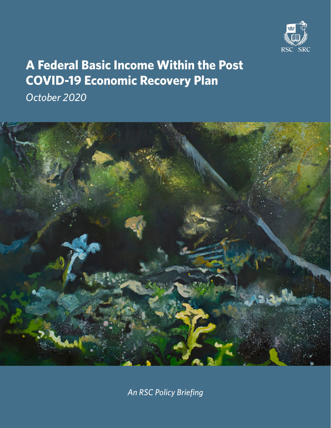

# **A Federal Basic Income Within the Post COVID-19 Economic Recovery Plan**

*October 2020*



*An RSC Policy Briefing*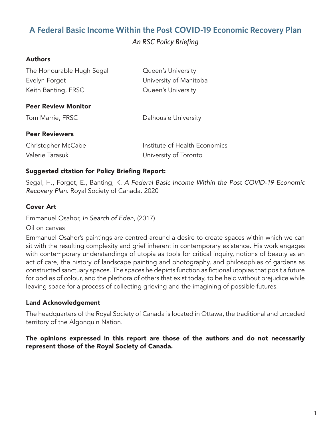# **A Federal Basic Income Within the Post COVID-19 Economic Recovery Plan** *An RSC Policy Briefing*

## Authors

| The Honourable Hugh Segal  | Queen's University            |
|----------------------------|-------------------------------|
| Evelyn Forget              | University of Manitoba        |
| Keith Banting, FRSC        | Queen's University            |
| <b>Peer Review Monitor</b> |                               |
| Tom Marrie, FRSC           | Dalhousie University          |
| <b>Peer Reviewers</b>      |                               |
| Christopher McCabe         | Institute of Health Economics |
| Valerie Tarasuk            | University of Toronto         |

#### Suggested citation for Policy Briefing Report:

Segal, H., Forget, E., Banting, K. *A Federal Basic Income Within the Post COVID-19 Economic Recovery Plan*. Royal Society of Canada. 2020

#### Cover Art

Emmanuel Osahor, *In Search of Eden*, (2017)

Oil on canvas

Emmanuel Osahor's paintings are centred around a desire to create spaces within which we can sit with the resulting complexity and grief inherent in contemporary existence. His work engages with contemporary understandings of utopia as tools for critical inquiry, notions of beauty as an act of care, the history of landscape painting and photography, and philosophies of gardens as constructed sanctuary spaces. The spaces he depicts function as fictional utopias that posit a future for bodies of colour, and the plethora of others that exist today, to be held without prejudice while leaving space for a process of collecting grieving and the imagining of possible futures.

## Land Acknowledgement

The headquarters of the Royal Society of Canada is located in Ottawa, the traditional and unceded territory of the Algonquin Nation.

#### The opinions expressed in this report are those of the authors and do not necessarily represent those of the Royal Society of Canada.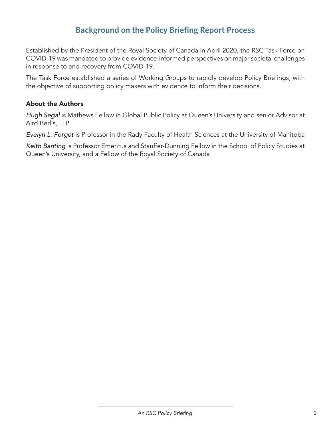# **Background on the Policy Briefing Report Process**

Established by the President of the Royal Society of Canada in April 2020, the RSC Task Force on COVID-19 was mandated to provide evidence-informed perspectives on major societal challenges in response to and recovery from COVID-19.

The Task Force established a series of Working Groups to rapidly develop Policy Briefings, with the objective of supporting policy makers with evidence to inform their decisions.

#### About the Authors

*Hugh Segal* is Mathews Fellow in Global Public Policy at Queen's University and senior Advisor at Aird Berlis, LLP

*Evelyn L. Forget* is Professor in the Rady Faculty of Health Sciences at the University of Manitoba

*Keith Banting* is Professor Emeritus and Stauffer-Dunning Fellow in the School of Policy Studies at Queen's University, and a Fellow of the Royal Society of Canada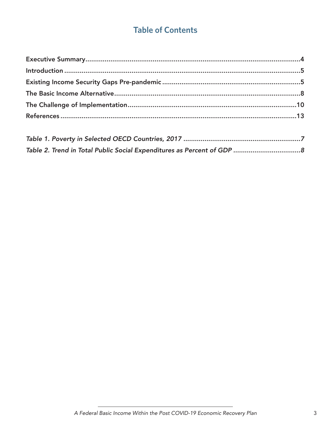# **Table of Contents**

| $\frac{1}{2}$ . The state of the state of the state of the state of the state of the state of the state of the state of the state of the state of the state of the state of the state of the state of the state of the state of t |  |
|-----------------------------------------------------------------------------------------------------------------------------------------------------------------------------------------------------------------------------------|--|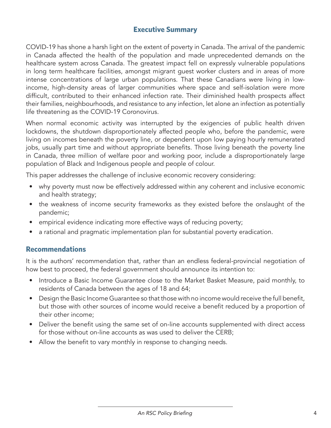# <span id="page-4-0"></span>**Executive Summary**

COVID-19 has shone a harsh light on the extent of poverty in Canada. The arrival of the pandemic in Canada affected the health of the population and made unprecedented demands on the healthcare system across Canada. The greatest impact fell on expressly vulnerable populations in long term healthcare facilities, amongst migrant guest worker clusters and in areas of more intense concentrations of large urban populations. That these Canadians were living in lowincome, high-density areas of larger communities where space and self-isolation were more difficult, contributed to their enhanced infection rate. Their diminished health prospects affect their families, neighbourhoods, and resistance to any infection, let alone an infection as potentially life threatening as the COVID-19 Coronovirus.

When normal economic activity was interrupted by the exigencies of public health driven lockdowns, the shutdown disproportionately affected people who, before the pandemic, were living on incomes beneath the poverty line, or dependent upon low paying hourly remunerated jobs, usually part time and without appropriate benefits. Those living beneath the poverty line in Canada, three million of welfare poor and working poor, include a disproportionately large population of Black and Indigenous people and people of colour.

This paper addresses the challenge of inclusive economic recovery considering:

- why poverty must now be effectively addressed within any coherent and inclusive economic and health strategy;
- the weakness of income security frameworks as they existed before the onslaught of the pandemic;
- empirical evidence indicating more effective ways of reducing poverty;
- a rational and pragmatic implementation plan for substantial poverty eradication.

# **Recommendations**

It is the authors' recommendation that, rather than an endless federal-provincial negotiation of how best to proceed, the federal government should announce its intention to:

- Introduce a Basic Income Guarantee close to the Market Basket Measure, paid monthly, to residents of Canada between the ages of 18 and 64;
- Design the Basic Income Guarantee so that those with no income would receive the full benefit, but those with other sources of income would receive a benefit reduced by a proportion of their other income;
- Deliver the benefit using the same set of on-line accounts supplemented with direct access for those without on-line accounts as was used to deliver the CERB;
- Allow the benefit to vary monthly in response to changing needs.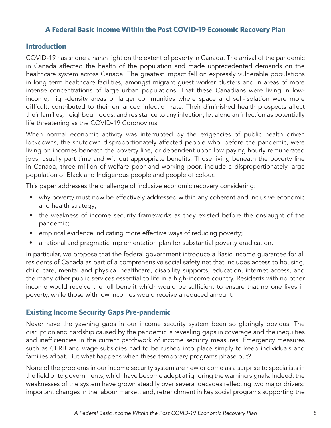## **A Federal Basic Income Within the Post COVID-19 Economic Recovery Plan**

### <span id="page-5-0"></span>**Introduction**

COVID-19 has shone a harsh light on the extent of poverty in Canada. The arrival of the pandemic in Canada affected the health of the population and made unprecedented demands on the healthcare system across Canada. The greatest impact fell on expressly vulnerable populations in long term healthcare facilities, amongst migrant guest worker clusters and in areas of more intense concentrations of large urban populations. That these Canadians were living in lowincome, high-density areas of larger communities where space and self-isolation were more difficult, contributed to their enhanced infection rate. Their diminished health prospects affect their families, neighbourhoods, and resistance to any infection, let alone an infection as potentially life threatening as the COVID-19 Coronovirus.

When normal economic activity was interrupted by the exigencies of public health driven lockdowns, the shutdown disproportionately affected people who, before the pandemic, were living on incomes beneath the poverty line, or dependent upon low paying hourly remunerated jobs, usually part time and without appropriate benefits. Those living beneath the poverty line in Canada, three million of welfare poor and working poor, include a disproportionately large population of Black and Indigenous people and people of colour.

This paper addresses the challenge of inclusive economic recovery considering:

- why poverty must now be effectively addressed within any coherent and inclusive economic and health strategy;
- the weakness of income security frameworks as they existed before the onslaught of the pandemic;
- empirical evidence indicating more effective ways of reducing poverty;
- a rational and pragmatic implementation plan for substantial poverty eradication.

In particular, we propose that the federal government introduce a Basic Income guarantee for all residents of Canada as part of a comprehensive social safety net that includes access to housing, child care, mental and physical healthcare, disability supports, education, internet access, and the many other public services essential to life in a high-income country. Residents with no other income would receive the full benefit which would be sufficient to ensure that no one lives in poverty, while those with low incomes would receive a reduced amount.

# <span id="page-5-1"></span>**Existing Income Security Gaps Pre-pandemic**

Never have the yawning gaps in our income security system been so glaringly obvious. The disruption and hardship caused by the pandemic is revealing gaps in coverage and the inequities and inefficiencies in the current patchwork of income security measures. Emergency measures such as CERB and wage subsidies had to be rushed into place simply to keep individuals and families afloat. But what happens when these temporary programs phase out?

None of the problems in our income security system are new or come as a surprise to specialists in the field or to governments, which have become adept at ignoring the warning signals. Indeed, the weaknesses of the system have grown steadily over several decades reflecting two major drivers: important changes in the labour market; and, retrenchment in key social programs supporting the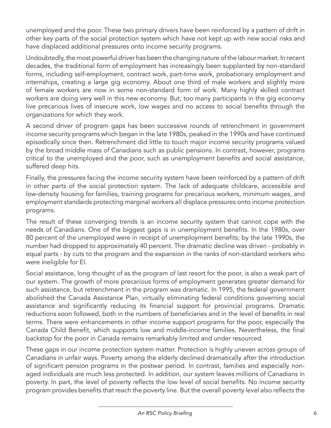unemployed and the poor. These two primary drivers have been reinforced by a pattern of drift in other key parts of the social protection system which have not kept up with new social risks and have displaced additional pressures onto income security programs.

Undoubtedly, the most powerful driver has been the changing nature of the labour market. In recent decades, the traditional form of employment has increasingly been supplanted by non-standard forms, including self-employment, contract work, part-time work, probationary employment and internships, creating a large gig economy. About one third of male workers and slightly more of female workers are now in some non-standard form of work. Many highly skilled contract workers are doing very well in this new economy. But, too many participants in the gig economy live precarious lives of insecure work, low wages and no access to social benefits through the organizations for which they work.

A second driver of program gaps has been successive rounds of retrenchment in government income security programs which began in the late 1980s, peaked in the 1990s and have continued episodically since then. Retrenchment did little to touch major income security programs valued by the broad middle mass of Canadians such as public pensions. In contrast, however, programs critical to the unemployed and the poor, such as unemployment benefits and social assistance, suffered deep hits.

Finally, the pressures facing the income security system have been reinforced by a pattern of drift in other parts of the social protection system. The lack of adequate childcare, accessible and low-density housing for families, training programs for precarious workers, minimum wages, and employment standards protecting marginal workers all displace pressures onto income protection programs.

The result of these converging trends is an income security system that cannot cope with the needs of Canadians. One of the biggest gaps is in unemployment benefits. In the 1980s, over 80 percent of the unemployed were in receipt of unemployment benefits; by the late 1990s, the number had dropped to approximately 40 percent. The dramatic decline was driven - probably in equal parts - by cuts to the program and the expansion in the ranks of non-standard workers who were ineligible for EI.

Social assistance, long thought of as the program of last resort for the poor, is also a weak part of our system. The growth of more precarious forms of employment generates greater demand for such assistance, but retrenchment in the program was dramatic. In 1995, the federal government abolished the Canada Assistance Plan, virtually eliminating federal conditions governing social assistance and significantly reducing its financial support for provincial programs. Dramatic reductions soon followed, both in the numbers of beneficiaries and in the level of benefits in real terms. There were enhancements in other income support programs for the poor, especially the Canada Child Benefit, which supports low and middle-income families. Nevertheless, the final backstop for the poor in Canada remains remarkably limited and under resourced.

These gaps in our income protection system matter. Protection is highly uneven across groups of Canadians in unfair ways. Poverty among the elderly declined dramatically after the introduction of significant pension programs in the postwar period. In contrast, families and especially nonaged individuals are much less protected. In addition, our system leaves millions of Canadians in poverty. In part, the level of poverty reflects the low level of social benefits. No income security program provides benefits that reach the poverty line. But the overall poverty level also reflects the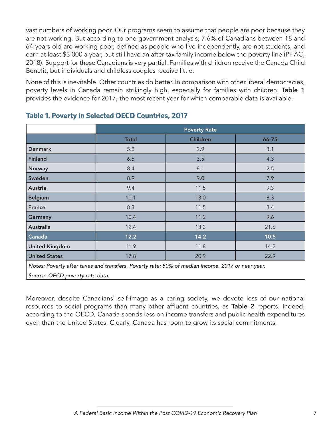vast numbers of working poor. Our programs seem to assume that people are poor because they are not working. But according to one government analysis, 7.6% of Canadians between 18 and 64 years old are working poor, defined as people who live independently, are not students, and earn at least \$3 000 a year, but still have an after-tax family income below the poverty line (PHAC, 2018). Support for these Canadians is very partial. Families with children receive the Canada Child Benefit, but individuals and childless couples receive little.

None of this is inevitable. Other countries do better. In comparison with other liberal democracies, poverty levels in Canada remain strikingly high, especially for families with children. Table 1 provides the evidence for 2017, the most recent year for which comparable data is available.

|                                                                                                  | <b>Poverty Rate</b> |                 |       |  |  |
|--------------------------------------------------------------------------------------------------|---------------------|-----------------|-------|--|--|
|                                                                                                  | <b>Total</b>        | <b>Children</b> | 66-75 |  |  |
| <b>Denmark</b>                                                                                   | 5.8                 | 2.9             | 3.1   |  |  |
| <b>Finland</b>                                                                                   | 6.5                 | 3.5             | 4.3   |  |  |
| <b>Norway</b>                                                                                    | 8.4                 | 8.1             | 2.5   |  |  |
| Sweden                                                                                           | 8.9                 | 9.0             | 7.9   |  |  |
| Austria                                                                                          | 9.4                 | 11.5            | 9.3   |  |  |
| <b>Belgium</b>                                                                                   | 10.1                | 13.0            | 8.3   |  |  |
| <b>France</b>                                                                                    | 8.3                 | 11.5            | 3.4   |  |  |
| Germany                                                                                          | 10.4                | 11.2            | 9.6   |  |  |
| Australia                                                                                        | 12.4                | 13.3            | 21.6  |  |  |
| $\overline{\mathsf{Canada}}$                                                                     | 12.2                | 14.2            | 10.5  |  |  |
| <b>United Kingdom</b>                                                                            | 11.9                |                 | 14.2  |  |  |
| <b>United States</b>                                                                             | 17.8                |                 | 22.9  |  |  |
| Notes: Poverty after taxes and transfers. Poverty rate: 50% of median income. 2017 or near year. |                     |                 |       |  |  |

# <span id="page-7-0"></span>**Table 1. Poverty in Selected OECD Countries, 2017**

*Source: OECD poverty rate data.*

Moreover, despite Canadians' self-image as a caring society, we devote less of our national resources to social programs than many other affluent countries, as Table 2 reports. Indeed, according to the OECD, Canada spends less on income transfers and public health expenditures even than the United States. Clearly, Canada has room to grow its social commitments.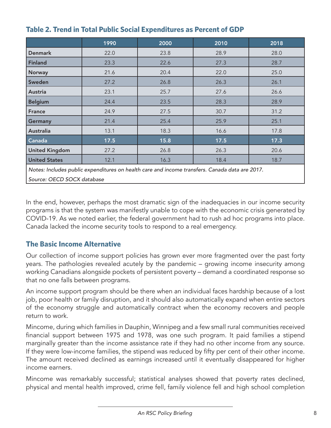|                                                                                                | 1990   | 2000 | 2010 | 2018 |  |
|------------------------------------------------------------------------------------------------|--------|------|------|------|--|
| <b>Denmark</b>                                                                                 | 22.0   | 23.8 | 28.9 | 28.0 |  |
| <b>Finland</b>                                                                                 | 23.3   | 22.6 | 27.3 | 28.7 |  |
| <b>Norway</b>                                                                                  | 21.6   | 20.4 | 22.0 | 25.0 |  |
| Sweden                                                                                         | 27.2   | 26.8 | 26.3 | 26.1 |  |
| <b>Austria</b>                                                                                 | 23.1   | 25.7 | 27.6 | 26.6 |  |
| <b>Belgium</b>                                                                                 | 24.4   | 23.5 | 28.3 | 28.9 |  |
| <b>France</b>                                                                                  | 24.9   | 27.5 | 30.7 | 31.2 |  |
| <b>Germany</b>                                                                                 | 21.4   | 25.4 | 25.9 | 25.1 |  |
| Australia                                                                                      | 13.1   | 18.3 | 16.6 | 17.8 |  |
| Canada                                                                                         | $17.5$ | 15.8 | 17.5 | 17.3 |  |
| <b>United Kingdom</b>                                                                          | 27.2   | 26.8 | 26.3 | 20.6 |  |
| <b>United States</b>                                                                           | 12.1   | 16.3 | 18.4 | 18.7 |  |
| Notes: Includes public expenditures on health care and income transfers. Canada data are 2017. |        |      |      |      |  |

# <span id="page-8-1"></span>**Table 2. Trend in Total Public Social Expenditures as Percent of GDP**

*Source: OECD SOCX database*

In the end, however, perhaps the most dramatic sign of the inadequacies in our income security programs is that the system was manifestly unable to cope with the economic crisis generated by COVID-19. As we noted earlier, the federal government had to rush ad hoc programs into place. Canada lacked the income security tools to respond to a real emergency.

# <span id="page-8-0"></span>**The Basic Income Alternative**

Our collection of income support policies has grown ever more fragmented over the past forty years. The pathologies revealed acutely by the pandemic – growing income insecurity among working Canadians alongside pockets of persistent poverty – demand a coordinated response so that no one falls between programs.

An income support program should be there when an individual faces hardship because of a lost job, poor health or family disruption, and it should also automatically expand when entire sectors of the economy struggle and automatically contract when the economy recovers and people return to work.

Mincome, during which families in Dauphin, Winnipeg and a few small rural communities received financial support between 1975 and 1978, was one such program. It paid families a stipend marginally greater than the income assistance rate if they had no other income from any source. If they were low-income families, the stipend was reduced by fifty per cent of their other income. The amount received declined as earnings increased until it eventually disappeared for higher income earners.

Mincome was remarkably successful; statistical analyses showed that poverty rates declined, physical and mental health improved, crime fell, family violence fell and high school completion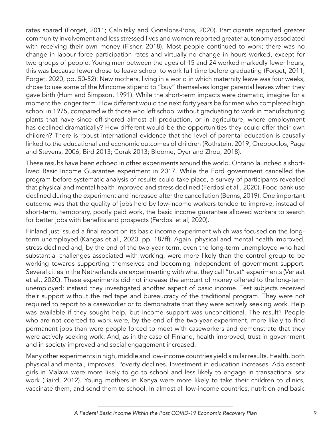rates soared (Forget, 2011; Calnitsky and Gonalons-Pons, 2020). Participants reported greater community involvement and less stressed lives and women reported greater autonomy associated with receiving their own money (Fisher, 2018). Most people continued to work; there was no change in labour force participation rates and virtually no change in hours worked, except for two groups of people. Young men between the ages of 15 and 24 worked markedly fewer hours; this was because fewer chose to leave school to work full time before graduating (Forget, 2011; Forget, 2020, pp. 50-52). New mothers, living in a world in which maternity leave was four weeks, chose to use some of the Mincome stipend to "buy" themselves longer parental leaves when they gave birth (Hum and Simpson, 1991). While the short-term impacts were dramatic, imagine for a moment the longer term. How different would the next forty years be for men who completed high school in 1975, compared with those who left school without graduating to work in manufacturing plants that have since off-shored almost all production, or in agriculture, where employment has declined dramatically? How different would be the opportunities they could offer their own children? There is robust international evidence that the level of parental education is causally linked to the educational and economic outcomes of children (Rothstein, 2019; Oreopoulos, Page and Stevens, 2006; Bird 2013; Corak 2013; Bloome, Dyer and Zhou, 2018).

These results have been echoed in other experiments around the world. Ontario launched a shortlived Basic Income Guarantee experiment in 2017. While the Ford government cancelled the program before systematic analysis of results could take place, a survey of participants revealed that physical and mental health improved and stress declined (Ferdosi et al., 2020). Food bank use declined during the experiment and increased after the cancellation (Benns, 2019). One important outcome was that the quality of jobs held by low-income workers tended to improve; instead of short-term, temporary, poorly paid work, the basic income guarantee allowed workers to search for better jobs with benefits and prospects (Ferdosi et al, 2020).

Finland just issued a final report on its basic income experiment which was focused on the longterm unemployed (Kangas et al., 2020, pp. 187ff). Again, physical and mental health improved, stress declined and, by the end of the two-year term, even the long-term unemployed who had substantial challenges associated with working, were more likely than the control group to be working towards supporting themselves and becoming independent of government support. Several cities in the Netherlands are experimenting with what they call "trust" experiments (Verlaat et al., 2020). These experiments did not increase the amount of money offered to the long-term unemployed; instead they investigated another aspect of basic income. Test subjects received their support without the red tape and bureaucracy of the traditional program. They were not required to report to a caseworker or to demonstrate that they were actively seeking work. Help was available if they sought help, but income support was unconditional. The result? People who are not coerced to work were, by the end of the two-year experiment, more likely to find permanent jobs than were people forced to meet with caseworkers and demonstrate that they were actively seeking work. And, as in the case of Finland, health improved, trust in government and in society improved and social engagement increased.

Many other experiments in high, middle and low-income countries yield similar results. Health, both physical and mental, improves. Poverty declines. Investment in education increases. Adolescent girls in Malawi were more likely to go to school and less likely to engage in transactional sex work (Baird, 2012). Young mothers in Kenya were more likely to take their children to clinics, vaccinate them, and send them to school. In almost all low-income countries, nutrition and basic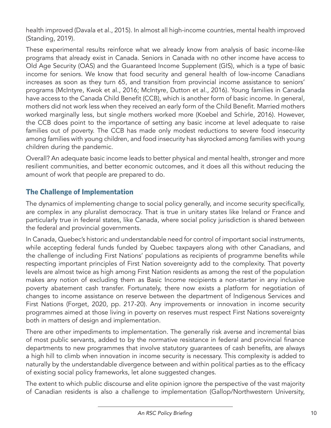health improved (Davala et al., 2015). In almost all high-income countries, mental health improved (Standing, 2019).

These experimental results reinforce what we already know from analysis of basic income-like programs that already exist in Canada. Seniors in Canada with no other income have access to Old Age Security (OAS) and the Guaranteed Income Supplement (GIS), which is a type of basic income for seniors. We know that food security and general health of low-income Canadians increases as soon as they turn 65, and transition from provincial income assistance to seniors' programs (McIntyre, Kwok et al., 2016; McIntyre, Dutton et al., 2016). Young families in Canada have access to the Canada Child Benefit (CCB), which is another form of basic income. In general, mothers did not work less when they received an early form of the Child Benefit. Married mothers worked marginally less, but single mothers worked more (Koebel and Schirle, 2016). However, the CCB does point to the importance of setting any basic income at level adequate to raise families out of poverty. The CCB has made only modest reductions to severe food insecurity among families with young children, and food insecurity has skyrocked among families with young children during the pandemic.

Overall? An adequate basic income leads to better physical and mental health, stronger and more resilient communities, and better economic outcomes, and it does all this without reducing the amount of work that people are prepared to do.

# <span id="page-10-0"></span>**The Challenge of Implementation**

The dynamics of implementing change to social policy generally, and income security specifically, are complex in any pluralist democracy. That is true in unitary states like Ireland or France and particularly true in federal states, like Canada, where social policy jurisdiction is shared between the federal and provincial governments.

In Canada, Quebec's historic and understandable need for control of important social instruments, while accepting federal funds funded by Quebec taxpayers along with other Canadians, and the challenge of including First Nations' populations as recipients of programme benefits while respecting important principles of First Nation sovereignty add to the complexity. That poverty levels are almost twice as high among First Nation residents as among the rest of the population makes any notion of excluding them as Basic Income recipients a non-starter in any inclusive poverty abatement cash transfer. Fortunately, there now exists a platform for negotiation of changes to income assistance on reserve between the department of Indigenous Services and First Nations (Forget, 2020, pp. 217-20). Any improvements or innovation in income security programmes aimed at those living in poverty on reserves must respect First Nations sovereignty both in matters of design and implementation.

There are other impediments to implementation. The generally risk averse and incremental bias of most public servants, added to by the normative resistance in federal and provincial finance departments to new programmes that involve statutory guarantees of cash benefits, are always a high hill to climb when innovation in income security is necessary. This complexity is added to naturally by the understandable divergence between and within political parties as to the efficacy of existing social policy frameworks, let alone suggested changes.

The extent to which public discourse and elite opinion ignore the perspective of the vast majority of Canadian residents is also a challenge to implementation (Gallop/Northwestern University,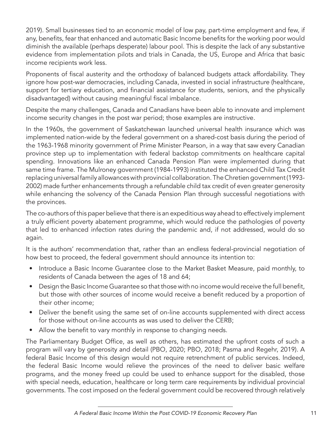2019). Small businesses tied to an economic model of low pay, part-time employment and few, if any, benefits, fear that enhanced and automatic Basic Income benefits for the working poor would diminish the available (perhaps desperate) labour pool. This is despite the lack of any substantive evidence from implementation pilots and trials in Canada, the US, Europe and Africa that basic income recipients work less.

Proponents of fiscal austerity and the orthodoxy of balanced budgets attack affordability. They ignore how post-war democracies, including Canada, invested in social infrastructure (healthcare, support for tertiary education, and financial assistance for students, seniors, and the physically disadvantaged) without causing meaningful fiscal imbalance.

Despite the many challenges, Canada and Canadians have been able to innovate and implement income security changes in the post war period; those examples are instructive.

In the 1960s, the government of Saskatchewan launched universal health insurance which was implemented nation-wide by the federal government on a shared-cost basis during the period of the 1963-1968 minority government of Prime Minister Pearson, in a way that saw every Canadian province step up to implementation with federal backstop commitments on healthcare capital spending. Innovations like an enhanced Canada Pension Plan were implemented during that same time frame. The Mulroney government (1984-1993) instituted the enhanced Child Tax Credit replacing universal family allowances with provincial collaboration. The Chretien government (1993- 2002) made further enhancements through a refundable child tax credit of even greater generosity while enhancing the solvency of the Canada Pension Plan through successful negotiations with the provinces.

The co-authors of this paper believe that there is an expeditious way ahead to effectively implement a truly efficient poverty abatement programme, which would reduce the pathologies of poverty that led to enhanced infection rates during the pandemic and, if not addressed, would do so again.

It is the authors' recommendation that, rather than an endless federal-provincial negotiation of how best to proceed, the federal government should announce its intention to:

- Introduce a Basic Income Guarantee close to the Market Basket Measure, paid monthly, to residents of Canada between the ages of 18 and 64;
- Design the Basic Income Guarantee so that those with no income would receive the full benefit, but those with other sources of income would receive a benefit reduced by a proportion of their other income;
- Deliver the benefit using the same set of on-line accounts supplemented with direct access for those without on-line accounts as was used to deliver the CERB;
- Allow the benefit to vary monthly in response to changing needs.

The Parliamentary Budget Office, as well as others, has estimated the upfront costs of such a program will vary by generosity and detail (PBO, 2020; PBO, 2018; Pasma and Regehr, 2019). A federal Basic Income of this design would not require retrenchment of public services. Indeed, the federal Basic Income would relieve the provinces of the need to deliver basic welfare programs, and the money freed up could be used to enhance support for the disabled, those with special needs, education, healthcare or long term care requirements by individual provincial governments. The cost imposed on the federal government could be recovered through relatively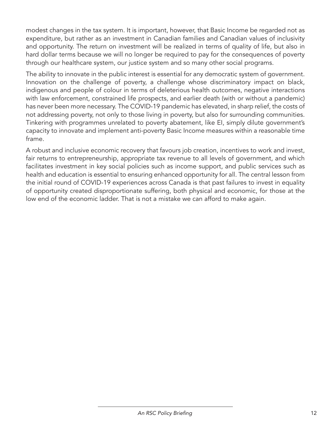modest changes in the tax system. It is important, however, that Basic Income be regarded not as expenditure, but rather as an investment in Canadian families and Canadian values of inclusivity and opportunity. The return on investment will be realized in terms of quality of life, but also in hard dollar terms because we will no longer be required to pay for the consequences of poverty through our healthcare system, our justice system and so many other social programs.

The ability to innovate in the public interest is essential for any democratic system of government. Innovation on the challenge of poverty, a challenge whose discriminatory impact on black, indigenous and people of colour in terms of deleterious health outcomes, negative interactions with law enforcement, constrained life prospects, and earlier death (with or without a pandemic) has never been more necessary. The COVID-19 pandemic has elevated, in sharp relief, the costs of not addressing poverty, not only to those living in poverty, but also for surrounding communities. Tinkering with programmes unrelated to poverty abatement, like EI, simply dilute government's capacity to innovate and implement anti-poverty Basic Income measures within a reasonable time frame.

A robust and inclusive economic recovery that favours job creation, incentives to work and invest, fair returns to entrepreneurship, appropriate tax revenue to all levels of government, and which facilitates investment in key social policies such as income support, and public services such as health and education is essential to ensuring enhanced opportunity for all. The central lesson from the initial round of COVID-19 experiences across Canada is that past failures to invest in equality of opportunity created disproportionate suffering, both physical and economic, for those at the low end of the economic ladder. That is not a mistake we can afford to make again.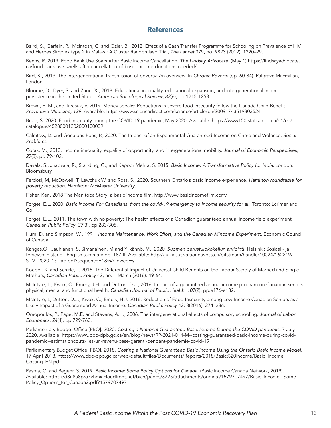#### <span id="page-13-0"></span>**References**

Baird, S., Garfein, R., McIntosh, C. and Ozler, B. 2012. Effect of a Cash Transfer Programme for Schooling on Prevalence of HIV and Herpes Simplex type 2 in Malawi: A Cluster Randomised Trial, *The Lancet* 379, no. 9823 (2012): 1320–29.

Benns, R. 2019. Food Bank Use Soars After Basic Income Cancellation. *The Lindsay Advocate.* (May 1) https://lindsayadvocate. ca/food-bank-use-swells-after-cancellation-of-basic-income-donations-needed/

Bird, K., 2013. The intergenerational transmission of poverty: An overview. In *Chronic Poverty* (pp. 60-84). Palgrave Macmillan, London.

Bloome, D., Dyer, S. and Zhou, X., 2018. Educational inequality, educational expansion, and intergenerational income persistence in the United States. *American Sociological Review*, *83*(6), pp.1215-1253.

Brown, E. M., and Tarasuk, V. 2019. Money speaks: Reductions in severe food insecurity follow the Canada Child Benefit. *Preventive Medicine, 129*. Available: https://www.sciencedirect.com/science/article/pii/S0091743519303524

Brule, S. 2020. Food insecurity during the COVID-19 pandemic, May 2020. Available: https://www150.statcan.gc.ca/n1/en/ catalogue/45280001202000100039

Calnitsky, D. and Gonalons-Pons, P., 2020. The Impact of an Experimental Guaranteed Income on Crime and Violence. *Social Problems*.

Corak, M., 2013. Income inequality, equality of opportunity, and intergenerational mobility. *Journal of Economic Perspectives*, *27*(3), pp.79-102.

Davala, S., Jhabvala, R., Standing, G., and Kapoor Mehta, S. 2015. *Basic Income: A Transformative Policy for India.* London: Bloomsbury.

Ferdosi, M, McDowell, T, Lewchuk W, and Ross, S., 2020. Southern Ontario's basic income experience. *Hamilton roundtable for poverty reduction. Hamilton: McMaster University*.

Fisher, Ken. 2018 The Manitoba Story: a basic income film.<http://www.basicincomefilm.com/>

Forget, E.L. 2020. Basic Income For Canadians: from the covid-19 emergency to income security for all. Toronto: Lorimer and Co.

Forget, E.L., 2011. The town with no poverty: The health effects of a Canadian guaranteed annual income field experiment. *Canadian Public Policy*, *37*(3), pp.283-305.

Hum, D. and Simpson, W., 1991. *Income Maintenance, Work Effort, and the Canadian Mincome Experiment*. Economic Council of Canada.

Kangas,O, Jauhianen, S, Simanainen, M and Ylikännö, M., 2020. *Suomen perustulokokeilun arviointi*. Helsinki: Sosiaali- ja terveysministeriö. English summary pp. 187 ff. Available: http://julkaisut.valtioneuvosto.fi/bitstream/handle/10024/162219/ STM\_2020\_15\_rap.pdf?sequence=1&isAllowed=y

Koebel, K. and Schirle, T. 2016. The Differential Impact of Universal Child Benefits on the Labour Supply of Married and Single Mothers, *Canadian Public Policy* 42, no. 1 March (2016): 49-64.

McIntyre, L., Kwok, C., Emery, J.H. and Dutton, D.J., 2016. Impact of a guaranteed annual income program on Canadian seniors' physical, mental and functional health. *Canadian Journal of Public Health*, *107*(2), pp.e176-e182.

McIntyre, L, Dutton, D.J., Kwok, C., Emery, H.J. 2016. Reduction of Food Insecurity among Low-Income Canadian Seniors as a Likely Impact of a Guaranteed Annual Income. *Canadian Public Policy* 42: 3(2016): 274–286.

Oreopoulos, P., Page, M.E. and Stevens, A.H., 2006. The intergenerational effects of compulsory schooling. *Journal of Labor Economics*, *24*(4), pp.729-760.

Parliamentary Budget Office [PBO]. 2020. *Costing a National Guaranteed Basic Income During the COVID pandemic*, 7 July 2020. Available: https://www.pbo-dpb.gc.ca/en/blog/news/RP-2021-014-M--costing-guaranteed-basic-income-during-covidpandemic--estimationcouts-lies-un-revenu-base-garanti-pendant-pandemie-covid-19

Parliamentary Budget Office [PBO]. 2018. *Costing a National Guaranteed Basic Income Using the Ontario Basic Income Model*. 17 April 2018. https://www.pbo-dpb.gc.ca/web/default/files/Documents/Reports/2018/Basic%20Income/Basic\_Income\_ Costing\_EN.pdf

Pasma, C. and Regehr, S. 2019. *Basic Income: Some Policy Options for Canada*. (Basic Income Canada Network, 2019). Available: https://d3n8a8pro7vhmx.cloudfront.net/bicn/pages/3725/attachments/original/1579707497/Basic\_Income-\_Some\_ Policy\_Options\_for\_Canada2.pdf?1579707497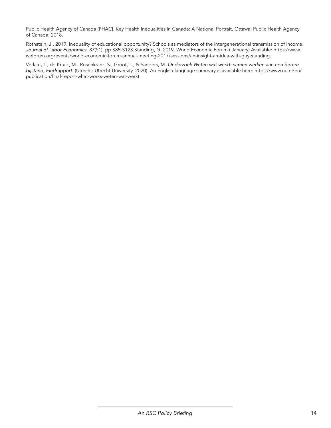Public Health Agency of Canada (PHAC]. Key Health Inequalities in Canada: A National Portrait. Ottawa: Public Health Agency of Canada; 2018.

Rothstein, J., 2019. Inequality of educational opportunity? Schools as mediators of the intergenerational transmission of income. *Journal of Labor Economics*, *37*(S1), pp.S85-S123.Standing, G. 2019. World Economic Forum ( January) Available: https://www. weforum.org/events/world-economic-forum-annual-meeting-2017/sessions/an-insight-an-idea-with-guy-standing.

Verlaat, T., de Kruijk, M., Rosenkranz, S., Groot, L., & Sanders, M. *Onderzoek Weten wat werkt: samen werken aan een betere bijstand, Eindrapport.* (Utrecht: Utrecht University. 2020). An English-language summary is available here: [https://www.uu.nl/en/](https://www.uu.nl/en/publication/final-report-what-works-weten-wat-werkt) [publication/final-report-what-works-weten-wat-werkt](https://www.uu.nl/en/publication/final-report-what-works-weten-wat-werkt)